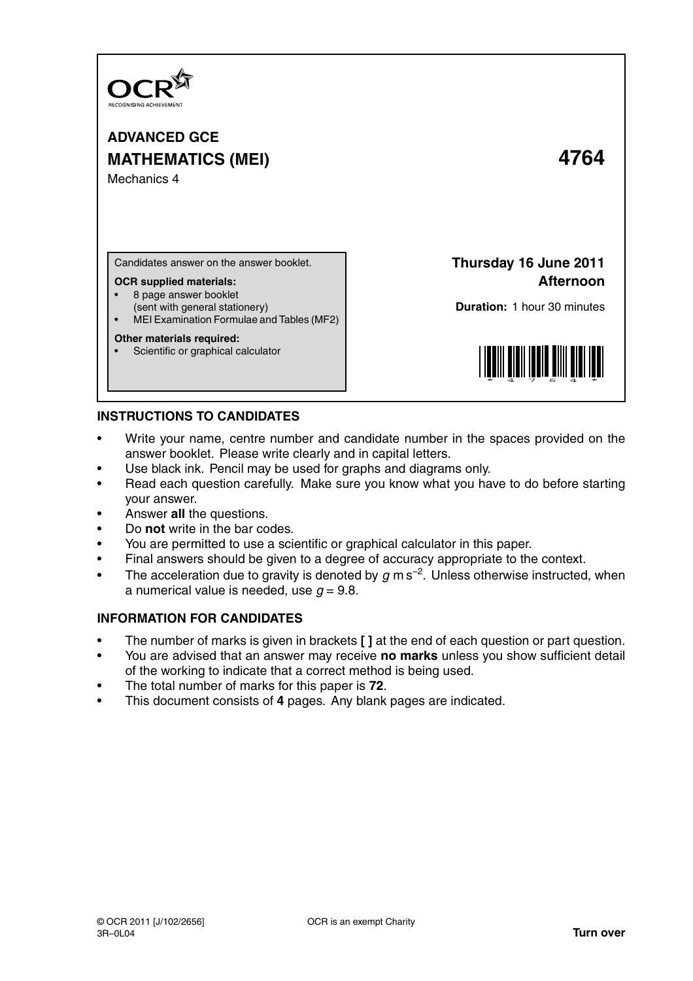

**ADVANCED GCE MATHEMATICS (MEI) 4764** Mechanics 4

Candidates answer on the answer booklet.

### **OCR supplied materials:**

- 8 page answer booklet
- (sent with general stationery)
- MEI Examination Formulae and Tables (MF2)

## **Other materials required:**

Scientific or graphical calculator

**Thursday 16 June 2011 Afternoon**

**Duration:** 1 hour 30 minutes



# **INSTRUCTIONS TO CANDIDATES**

- Write your name, centre number and candidate number in the spaces provided on the answer booklet. Please write clearly and in capital letters.
- Use black ink. Pencil may be used for graphs and diagrams only.
- Read each question carefully. Make sure you know what you have to do before starting your answer.
- Answer **all** the questions.
- Do **not** write in the bar codes.
- You are permitted to use a scientific or graphical calculator in this paper.
- Final answers should be given to a degree of accuracy appropriate to the context.
- The acceleration due to gravity is denoted by  $g$  m s<sup>-2</sup>. Unless otherwise instructed, when a numerical value is needed, use  $q = 9.8$ .

# **INFORMATION FOR CANDIDATES**

- The number of marks is given in brackets **[ ]** at the end of each question or part question.
- You are advised that an answer may receive **no marks** unless you show sufficient detail of the working to indicate that a correct method is being used.
- The total number of marks for this paper is **72**.
- This document consists of **4** pages. Any blank pages are indicated.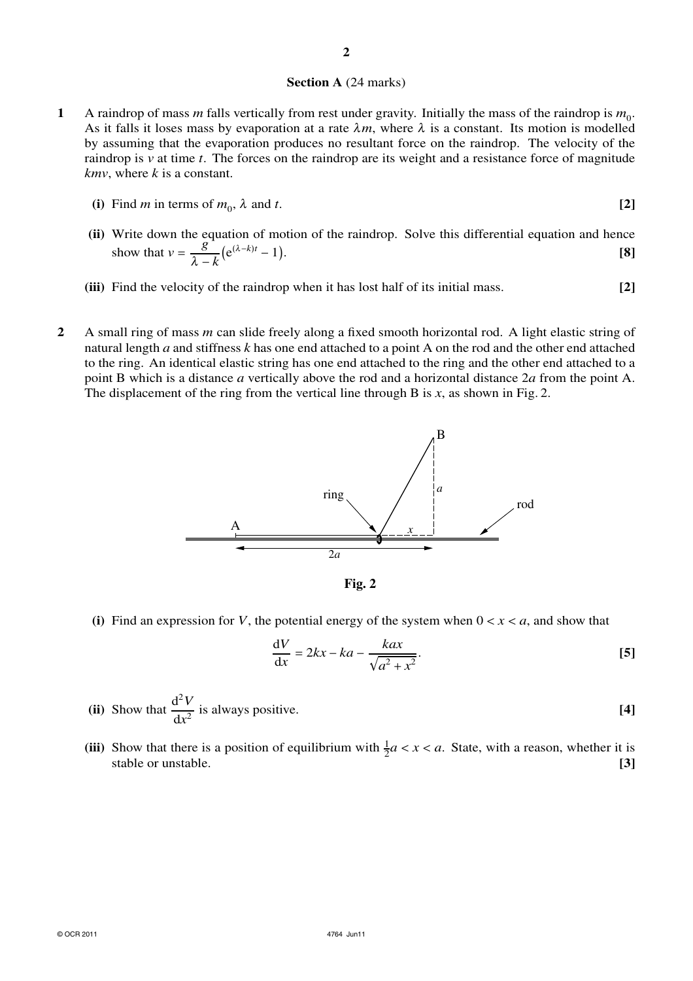#### **Section A** (24 marks)

- **1** A raindrop of mass *m* falls vertically from rest under gravity. Initially the mass of the raindrop is  $m_0$ . As it falls it loses mass by evaporation at a rate  $\lambda m$ , where  $\lambda$  is a constant. Its motion is modelled by assuming that the evaporation produces no resultant force on the raindrop. The velocity of the raindrop is *v* at time *t*. The forces on the raindrop are its weight and a resistance force of magnitude *kmv*, where *k* is a constant.
	- **(i)** Find *m* in terms of  $m_0$ ,  $\lambda$  and *t*. **[2]**
	- **(ii)** Write down the equation of motion of the raindrop. Solve this differential equation and hence show that  $v = \frac{g}{\lambda}$  $\frac{g}{\lambda - k} (e^{(\lambda - k)t} - 1).$  [8]
	- **(iii)** Find the velocity of the raindrop when it has lost half of its initial mass. **[2]**
- **2** A small ring of mass *m* can slide freely along a fixed smooth horizontal rod. A light elastic string of natural length *a* and stiffness *k* has one end attached to a point A on the rod and the other end attached to the ring. An identical elastic string has one end attached to the ring and the other end attached to a point B which is a distance *a* vertically above the rod and a horizontal distance 2*a* from the point A. The displacement of the ring from the vertical line through B is  $x$ , as shown in Fig. 2.



**Fig. 2**

(i) Find an expression for *V*, the potential energy of the system when  $0 < x < a$ , and show that

$$
\frac{\mathrm{d}V}{\mathrm{d}x} = 2kx - ka - \frac{kax}{\sqrt{a^2 + x^2}}.\tag{5}
$$

(ii) Show that 
$$
\frac{d^2V}{dx^2}
$$
 is always positive.

(iii) Show that there is a position of equilibrium with  $\frac{1}{2}a < x < a$ . State, with a reason, whether it is stable or unstable. **[3]**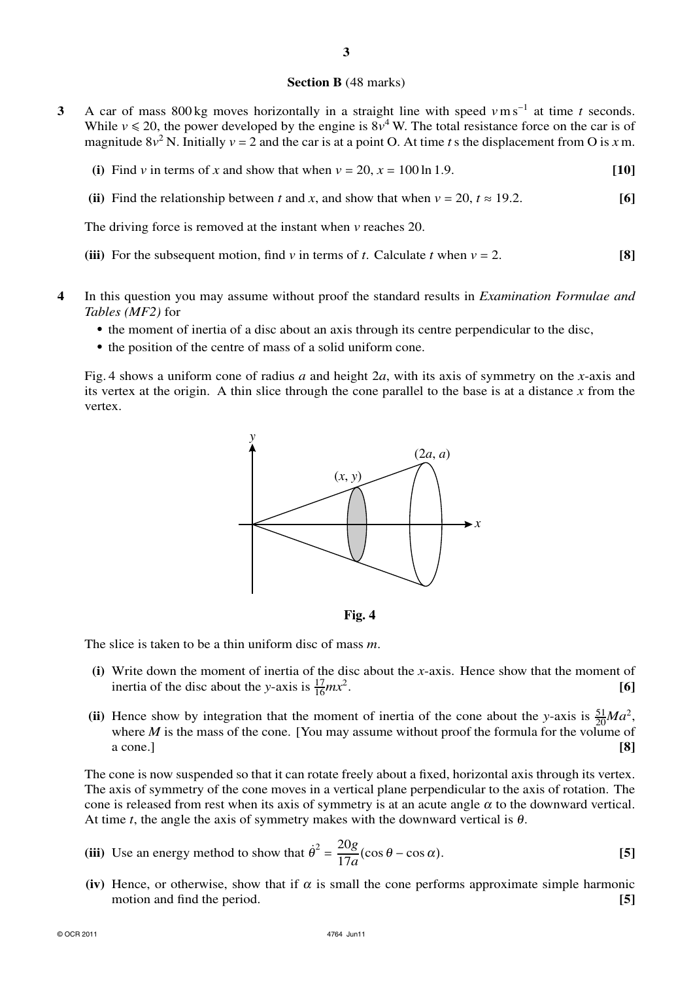## **Section B** (48 marks)

**3** A car of mass 800 kg moves horizontally in a straight line with speed *v*m s<sup>−</sup><sup>1</sup> at time *t* seconds. While  $v \le 20$ , the power developed by the engine is  $8v^4$  W. The total resistance force on the car is of magnitude  $8v^2$  N. Initially  $v = 2$  and the car is at a point O. At time *t* s the displacement from O is *x* m.

**(i)** Find *v* in terms of *x* and show that when  $v = 20$ ,  $x = 100 \ln 1.9$ . [10]

**(ii)** Find the relationship between *t* and *x*, and show that when  $v = 20$ ,  $t \approx 19.2$ . [6]

The driving force is removed at the instant when *v* reaches 20.

**(iii)** For the subsequent motion, find *v* in terms of *t*. Calculate *t* when  $v = 2$ . **[8]** 

- **4** In this question you may assume without proof the standard results in *Examination Formulae and Tables (MF2)* for
	- **•** the moment of inertia of a disc about an axis through its centre perpendicular to the disc,
	- **•** the position of the centre of mass of a solid uniform cone.

Fig. 4 shows a uniform cone of radius *a* and height 2*a*, with its axis of symmetry on the *x*-axis and its vertex at the origin. A thin slice through the cone parallel to the base is at a distance *x* from the vertex.





The slice is taken to be a thin uniform disc of mass *m*.

- **(i)** Write down the moment of inertia of the disc about the *x*-axis. Hence show that the moment of inertia of the disc about the *y*-axis is  $\frac{17}{16}mx^2$ . **[6]**
- (ii) Hence show by integration that the moment of inertia of the cone about the *y*-axis is  $\frac{51}{20}Ma^2$ , where *M* is the mass of the cone. [You may assume without proof the formula for the volume of a cone.] **[8]**

The cone is now suspended so that it can rotate freely about a fixed, horizontal axis through its vertex. The axis of symmetry of the cone moves in a vertical plane perpendicular to the axis of rotation. The cone is released from rest when its axis of symmetry is at an acute angle  $\alpha$  to the downward vertical. At time *t*, the angle the axis of symmetry makes with the downward vertical is  $\theta$ .

(iii) Use an energy method to show that 
$$
\dot{\theta}^2 = \frac{20g}{17a} (\cos \theta - \cos \alpha)
$$
. [5]

(iv) Hence, or otherwise, show that if  $\alpha$  is small the cone performs approximate simple harmonic motion and find the period. **[5]**